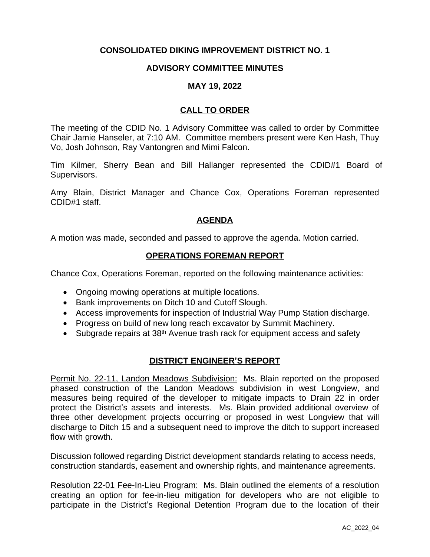# **CONSOLIDATED DIKING IMPROVEMENT DISTRICT NO. 1**

## **ADVISORY COMMITTEE MINUTES**

#### **MAY 19, 2022**

## **CALL TO ORDER**

The meeting of the CDID No. 1 Advisory Committee was called to order by Committee Chair Jamie Hanseler, at 7:10 AM. Committee members present were Ken Hash, Thuy Vo, Josh Johnson, Ray Vantongren and Mimi Falcon.

Tim Kilmer, Sherry Bean and Bill Hallanger represented the CDID#1 Board of Supervisors.

Amy Blain, District Manager and Chance Cox, Operations Foreman represented CDID#1 staff.

## **AGENDA**

A motion was made, seconded and passed to approve the agenda. Motion carried.

#### **OPERATIONS FOREMAN REPORT**

Chance Cox, Operations Foreman, reported on the following maintenance activities:

- Ongoing mowing operations at multiple locations.
- Bank improvements on Ditch 10 and Cutoff Slough.
- Access improvements for inspection of Industrial Way Pump Station discharge.
- Progress on build of new long reach excavator by Summit Machinery.
- Subgrade repairs at 38<sup>th</sup> Avenue trash rack for equipment access and safety

#### **DISTRICT ENGINEER'S REPORT**

Permit No. 22-11, Landon Meadows Subdivision: Ms. Blain reported on the proposed phased construction of the Landon Meadows subdivision in west Longview, and measures being required of the developer to mitigate impacts to Drain 22 in order protect the District's assets and interests. Ms. Blain provided additional overview of three other development projects occurring or proposed in west Longview that will discharge to Ditch 15 and a subsequent need to improve the ditch to support increased flow with growth.

Discussion followed regarding District development standards relating to access needs, construction standards, easement and ownership rights, and maintenance agreements.

Resolution 22-01 Fee-In-Lieu Program: Ms. Blain outlined the elements of a resolution creating an option for fee-in-lieu mitigation for developers who are not eligible to participate in the District's Regional Detention Program due to the location of their